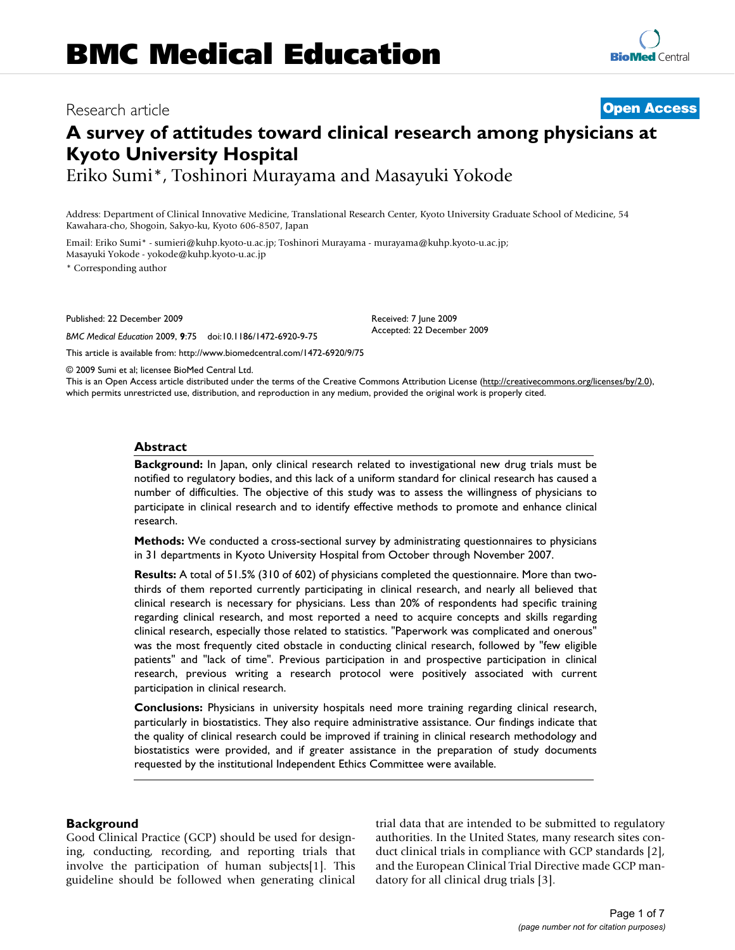# Research article **[Open Access](http://www.biomedcentral.com/info/about/charter/)**

## **A survey of attitudes toward clinical research among physicians at Kyoto University Hospital**

Eriko Sumi\*, Toshinori Murayama and Masayuki Yokode

Address: Department of Clinical Innovative Medicine, Translational Research Center, Kyoto University Graduate School of Medicine, 54 Kawahara-cho, Shogoin, Sakyo-ku, Kyoto 606-8507, Japan

Email: Eriko Sumi\* - sumieri@kuhp.kyoto-u.ac.jp; Toshinori Murayama - murayama@kuhp.kyoto-u.ac.jp; Masayuki Yokode - yokode@kuhp.kyoto-u.ac.jp

\* Corresponding author

Published: 22 December 2009

*BMC Medical Education* 2009, **9**:75 doi:10.1186/1472-6920-9-75

[This article is available from: http://www.biomedcentral.com/1472-6920/9/75](http://www.biomedcentral.com/1472-6920/9/75)

© 2009 Sumi et al; licensee BioMed Central Ltd.

This is an Open Access article distributed under the terms of the Creative Commons Attribution License [\(http://creativecommons.org/licenses/by/2.0\)](http://creativecommons.org/licenses/by/2.0), which permits unrestricted use, distribution, and reproduction in any medium, provided the original work is properly cited.

Received: 7 June 2009 Accepted: 22 December 2009

#### **Abstract**

**Background:** In Japan, only clinical research related to investigational new drug trials must be notified to regulatory bodies, and this lack of a uniform standard for clinical research has caused a number of difficulties. The objective of this study was to assess the willingness of physicians to participate in clinical research and to identify effective methods to promote and enhance clinical research.

**Methods:** We conducted a cross-sectional survey by administrating questionnaires to physicians in 31 departments in Kyoto University Hospital from October through November 2007.

**Results:** A total of 51.5% (310 of 602) of physicians completed the questionnaire. More than twothirds of them reported currently participating in clinical research, and nearly all believed that clinical research is necessary for physicians. Less than 20% of respondents had specific training regarding clinical research, and most reported a need to acquire concepts and skills regarding clinical research, especially those related to statistics. "Paperwork was complicated and onerous" was the most frequently cited obstacle in conducting clinical research, followed by "few eligible patients" and "lack of time". Previous participation in and prospective participation in clinical research, previous writing a research protocol were positively associated with current participation in clinical research.

**Conclusions:** Physicians in university hospitals need more training regarding clinical research, particularly in biostatistics. They also require administrative assistance. Our findings indicate that the quality of clinical research could be improved if training in clinical research methodology and biostatistics were provided, and if greater assistance in the preparation of study documents requested by the institutional Independent Ethics Committee were available.

#### **Background**

Good Clinical Practice (GCP) should be used for designing, conducting, recording, and reporting trials that involve the participation of human subjects[1]. This guideline should be followed when generating clinical trial data that are intended to be submitted to regulatory authorities. In the United States, many research sites conduct clinical trials in compliance with GCP standards [2], and the European Clinical Trial Directive made GCP mandatory for all clinical drug trials [3].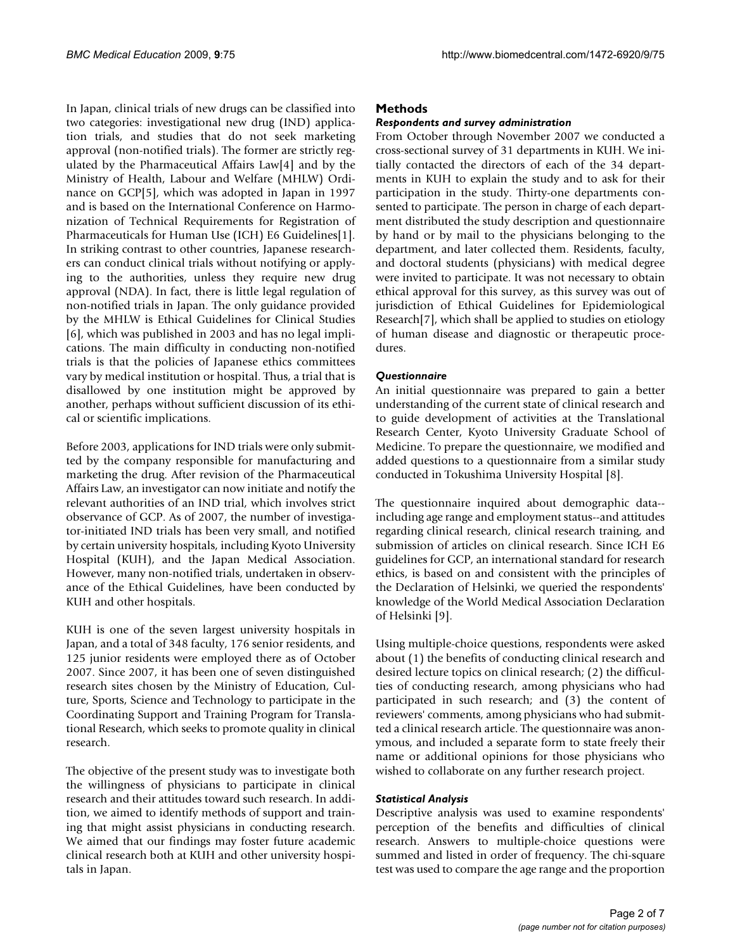In Japan, clinical trials of new drugs can be classified into two categories: investigational new drug (IND) application trials, and studies that do not seek marketing approval (non-notified trials). The former are strictly regulated by the Pharmaceutical Affairs Law[4] and by the Ministry of Health, Labour and Welfare (MHLW) Ordinance on GCP[5], which was adopted in Japan in 1997 and is based on the International Conference on Harmonization of Technical Requirements for Registration of Pharmaceuticals for Human Use (ICH) E6 Guidelines[1]. In striking contrast to other countries, Japanese researchers can conduct clinical trials without notifying or applying to the authorities, unless they require new drug approval (NDA). In fact, there is little legal regulation of non-notified trials in Japan. The only guidance provided by the MHLW is Ethical Guidelines for Clinical Studies [6], which was published in 2003 and has no legal implications. The main difficulty in conducting non-notified trials is that the policies of Japanese ethics committees vary by medical institution or hospital. Thus, a trial that is disallowed by one institution might be approved by another, perhaps without sufficient discussion of its ethical or scientific implications.

Before 2003, applications for IND trials were only submitted by the company responsible for manufacturing and marketing the drug. After revision of the Pharmaceutical Affairs Law, an investigator can now initiate and notify the relevant authorities of an IND trial, which involves strict observance of GCP. As of 2007, the number of investigator-initiated IND trials has been very small, and notified by certain university hospitals, including Kyoto University Hospital (KUH), and the Japan Medical Association. However, many non-notified trials, undertaken in observance of the Ethical Guidelines, have been conducted by KUH and other hospitals.

KUH is one of the seven largest university hospitals in Japan, and a total of 348 faculty, 176 senior residents, and 125 junior residents were employed there as of October 2007. Since 2007, it has been one of seven distinguished research sites chosen by the Ministry of Education, Culture, Sports, Science and Technology to participate in the Coordinating Support and Training Program for Translational Research, which seeks to promote quality in clinical research.

The objective of the present study was to investigate both the willingness of physicians to participate in clinical research and their attitudes toward such research. In addition, we aimed to identify methods of support and training that might assist physicians in conducting research. We aimed that our findings may foster future academic clinical research both at KUH and other university hospitals in Japan.

#### **Methods**

#### *Respondents and survey administration*

From October through November 2007 we conducted a cross-sectional survey of 31 departments in KUH. We initially contacted the directors of each of the 34 departments in KUH to explain the study and to ask for their participation in the study. Thirty-one departments consented to participate. The person in charge of each department distributed the study description and questionnaire by hand or by mail to the physicians belonging to the department, and later collected them. Residents, faculty, and doctoral students (physicians) with medical degree were invited to participate. It was not necessary to obtain ethical approval for this survey, as this survey was out of jurisdiction of Ethical Guidelines for Epidemiological Research[7], which shall be applied to studies on etiology of human disease and diagnostic or therapeutic procedures.

#### *Questionnaire*

An initial questionnaire was prepared to gain a better understanding of the current state of clinical research and to guide development of activities at the Translational Research Center, Kyoto University Graduate School of Medicine. To prepare the questionnaire, we modified and added questions to a questionnaire from a similar study conducted in Tokushima University Hospital [8].

The questionnaire inquired about demographic data- including age range and employment status--and attitudes regarding clinical research, clinical research training, and submission of articles on clinical research. Since ICH E6 guidelines for GCP, an international standard for research ethics, is based on and consistent with the principles of the Declaration of Helsinki, we queried the respondents' knowledge of the World Medical Association Declaration of Helsinki [9].

Using multiple-choice questions, respondents were asked about (1) the benefits of conducting clinical research and desired lecture topics on clinical research; (2) the difficulties of conducting research, among physicians who had participated in such research; and (3) the content of reviewers' comments, among physicians who had submitted a clinical research article. The questionnaire was anonymous, and included a separate form to state freely their name or additional opinions for those physicians who wished to collaborate on any further research project.

#### *Statistical Analysis*

Descriptive analysis was used to examine respondents' perception of the benefits and difficulties of clinical research. Answers to multiple-choice questions were summed and listed in order of frequency. The chi-square test was used to compare the age range and the proportion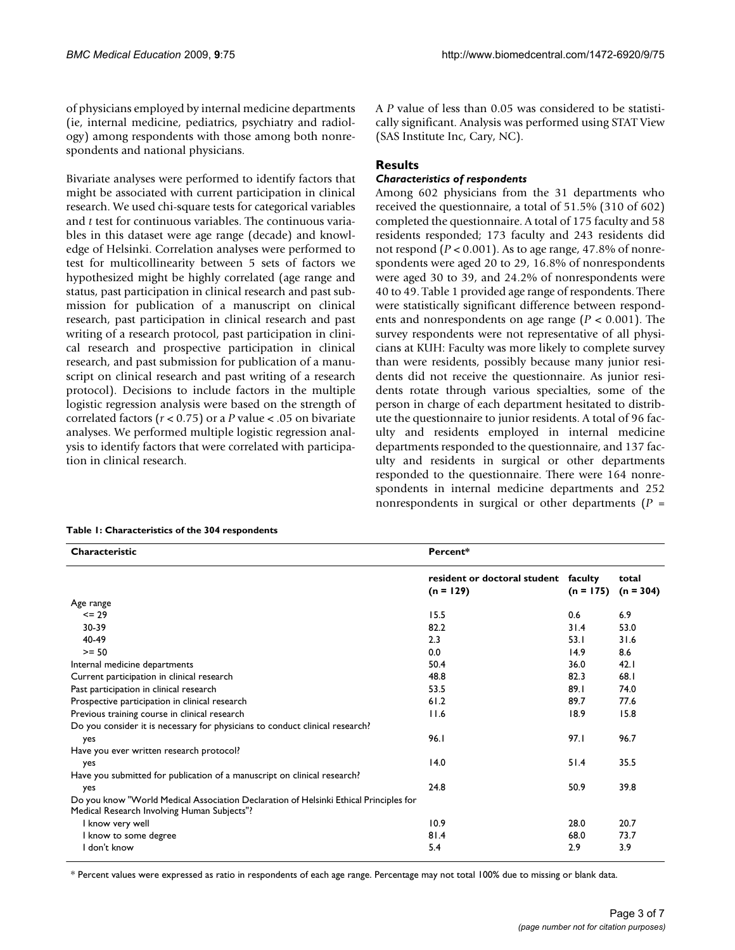of physicians employed by internal medicine departments (ie, internal medicine, pediatrics, psychiatry and radiology) among respondents with those among both nonrespondents and national physicians.

Bivariate analyses were performed to identify factors that might be associated with current participation in clinical research. We used chi-square tests for categorical variables and *t* test for continuous variables. The continuous variables in this dataset were age range (decade) and knowledge of Helsinki. Correlation analyses were performed to test for multicollinearity between 5 sets of factors we hypothesized might be highly correlated (age range and status, past participation in clinical research and past submission for publication of a manuscript on clinical research, past participation in clinical research and past writing of a research protocol, past participation in clinical research and prospective participation in clinical research, and past submission for publication of a manuscript on clinical research and past writing of a research protocol). Decisions to include factors in the multiple logistic regression analysis were based on the strength of correlated factors (*r* < 0.75) or a *P* value < .05 on bivariate analyses. We performed multiple logistic regression analysis to identify factors that were correlated with participation in clinical research.

A *P* value of less than 0.05 was considered to be statistically significant. Analysis was performed using STAT View (SAS Institute Inc, Cary, NC).

### **Results**

#### *Characteristics of respondents*

Among 602 physicians from the 31 departments who received the questionnaire, a total of 51.5% (310 of 602) completed the questionnaire. A total of 175 faculty and 58 residents responded; 173 faculty and 243 residents did not respond (*P* < 0.001). As to age range, 47.8% of nonrespondents were aged 20 to 29, 16.8% of nonrespondents were aged 30 to 39, and 24.2% of nonrespondents were 40 to 49. Table 1 provided age range of respondents. There were statistically significant difference between respondents and nonrespondents on age range (*P* < 0.001). The survey respondents were not representative of all physicians at KUH: Faculty was more likely to complete survey than were residents, possibly because many junior residents did not receive the questionnaire. As junior residents rotate through various specialties, some of the person in charge of each department hesitated to distribute the questionnaire to junior residents. A total of 96 faculty and residents employed in internal medicine departments responded to the questionnaire, and 137 faculty and residents in surgical or other departments responded to the questionnaire. There were 164 nonrespondents in internal medicine departments and 252 nonrespondents in surgical or other departments (*P* =

| Characteristic                                                                                                                       | Percent*                                    |                        |                      |
|--------------------------------------------------------------------------------------------------------------------------------------|---------------------------------------------|------------------------|----------------------|
|                                                                                                                                      |                                             |                        |                      |
|                                                                                                                                      | resident or doctoral student<br>$(n = 129)$ | faculty<br>$(n = 175)$ | total<br>$(n = 304)$ |
| Age range                                                                                                                            |                                             |                        |                      |
| $= 29$                                                                                                                               | 15.5                                        | 0.6                    | 6.9                  |
| 30-39                                                                                                                                | 82.2                                        | 31.4                   | 53.0                 |
| 40-49                                                                                                                                | 2.3                                         | 53.1                   | 31.6                 |
| $>= 50$                                                                                                                              | 0.0                                         | 14.9                   | 8.6                  |
| Internal medicine departments                                                                                                        | 50.4                                        | 36.0                   | 42.1                 |
| Current participation in clinical research                                                                                           | 48.8                                        | 82.3                   | 68.I                 |
| Past participation in clinical research                                                                                              | 53.5                                        | 89.1                   | 74.0                 |
| Prospective participation in clinical research                                                                                       | 61.2                                        | 89.7                   | 77.6                 |
| Previous training course in clinical research                                                                                        | 11.6                                        | 18.9                   | 15.8                 |
| Do you consider it is necessary for physicians to conduct clinical research?                                                         |                                             |                        |                      |
| yes                                                                                                                                  | 96.1                                        | 97.1                   | 96.7                 |
| Have you ever written research protocol?                                                                                             |                                             |                        |                      |
| yes                                                                                                                                  | 14.0                                        | 51.4                   | 35.5                 |
| Have you submitted for publication of a manuscript on clinical research?                                                             |                                             |                        |                      |
| yes                                                                                                                                  | 24.8                                        | 50.9                   | 39.8                 |
| Do you know "World Medical Association Declaration of Helsinki Ethical Principles for<br>Medical Research Involving Human Subjects"? |                                             |                        |                      |
| I know very well                                                                                                                     | 10.9                                        | 28.0                   | 20.7                 |
| I know to some degree                                                                                                                | 81.4                                        | 68.0                   | 73.7                 |
| I don't know                                                                                                                         | 5.4                                         | 2.9                    | 3.9                  |

**Table 1: Characteristics of the 304 respondents**

\* Percent values were expressed as ratio in respondents of each age range. Percentage may not total 100% due to missing or blank data.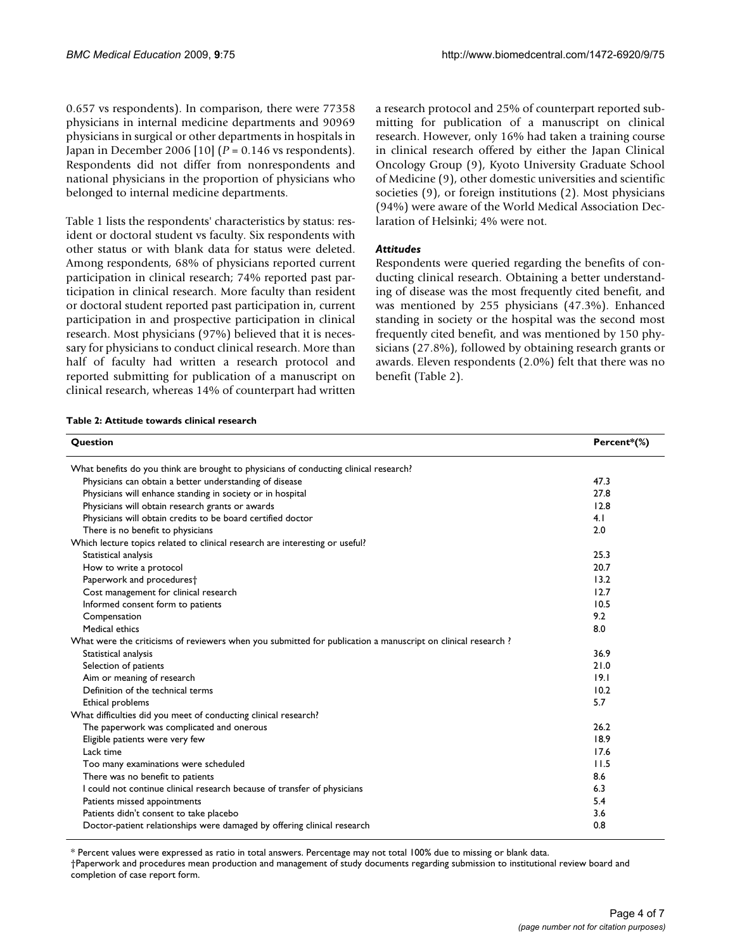0.657 vs respondents). In comparison, there were 77358 physicians in internal medicine departments and 90969 physicians in surgical or other departments in hospitals in Japan in December 2006 [10] (*P* = 0.146 vs respondents). Respondents did not differ from nonrespondents and national physicians in the proportion of physicians who belonged to internal medicine departments.

Table 1 lists the respondents' characteristics by status: resident or doctoral student vs faculty. Six respondents with other status or with blank data for status were deleted. Among respondents, 68% of physicians reported current participation in clinical research; 74% reported past participation in clinical research. More faculty than resident or doctoral student reported past participation in, current participation in and prospective participation in clinical research. Most physicians (97%) believed that it is necessary for physicians to conduct clinical research. More than half of faculty had written a research protocol and reported submitting for publication of a manuscript on clinical research, whereas 14% of counterpart had written a research protocol and 25% of counterpart reported submitting for publication of a manuscript on clinical research. However, only 16% had taken a training course in clinical research offered by either the Japan Clinical Oncology Group (9), Kyoto University Graduate School of Medicine (9), other domestic universities and scientific societies (9), or foreign institutions (2). Most physicians (94%) were aware of the World Medical Association Declaration of Helsinki; 4% were not.

#### *Attitudes*

Respondents were queried regarding the benefits of conducting clinical research. Obtaining a better understanding of disease was the most frequently cited benefit, and was mentioned by 255 physicians (47.3%). Enhanced standing in society or the hospital was the second most frequently cited benefit, and was mentioned by 150 physicians (27.8%), followed by obtaining research grants or awards. Eleven respondents (2.0%) felt that there was no benefit (Table 2).

#### **Table 2: Attitude towards clinical research**

| Question                                                                                                     | Percent*(%) |
|--------------------------------------------------------------------------------------------------------------|-------------|
| What benefits do you think are brought to physicians of conducting clinical research?                        |             |
| Physicians can obtain a better understanding of disease                                                      | 47.3        |
| Physicians will enhance standing in society or in hospital                                                   | 27.8        |
| Physicians will obtain research grants or awards                                                             | 12.8        |
| Physicians will obtain credits to be board certified doctor                                                  | 4.1         |
| There is no benefit to physicians                                                                            | 2.0         |
| Which lecture topics related to clinical research are interesting or useful?                                 |             |
| Statistical analysis                                                                                         | 25.3        |
| How to write a protocol                                                                                      | 20.7        |
| Paperwork and procedurest                                                                                    | 13.2        |
| Cost management for clinical research                                                                        | 12.7        |
| Informed consent form to patients                                                                            | 10.5        |
| Compensation                                                                                                 | 9.2         |
| Medical ethics                                                                                               | 8.0         |
| What were the criticisms of reviewers when you submitted for publication a manuscript on clinical research ? |             |
| Statistical analysis                                                                                         | 36.9        |
| Selection of patients                                                                                        | 21.0        |
| Aim or meaning of research                                                                                   | 19.1        |
| Definition of the technical terms                                                                            | 10.2        |
| Ethical problems                                                                                             | 5.7         |
| What difficulties did you meet of conducting clinical research?                                              |             |
| The paperwork was complicated and onerous                                                                    | 26.2        |
| Eligible patients were very few                                                                              | 18.9        |
| Lack time                                                                                                    | 17.6        |
| Too many examinations were scheduled                                                                         | 11.5        |
| There was no benefit to patients                                                                             | 8.6         |
| I could not continue clinical research because of transfer of physicians                                     | 6.3         |
| Patients missed appointments                                                                                 | 5.4         |
| Patients didn't consent to take placebo                                                                      | 3.6         |
| Doctor-patient relationships were damaged by offering clinical research                                      | 0.8         |

\* Percent values were expressed as ratio in total answers. Percentage may not total 100% due to missing or blank data.

<sup>†</sup>Paperwork and procedures mean production and management of study documents regarding submission to institutional review board and completion of case report form.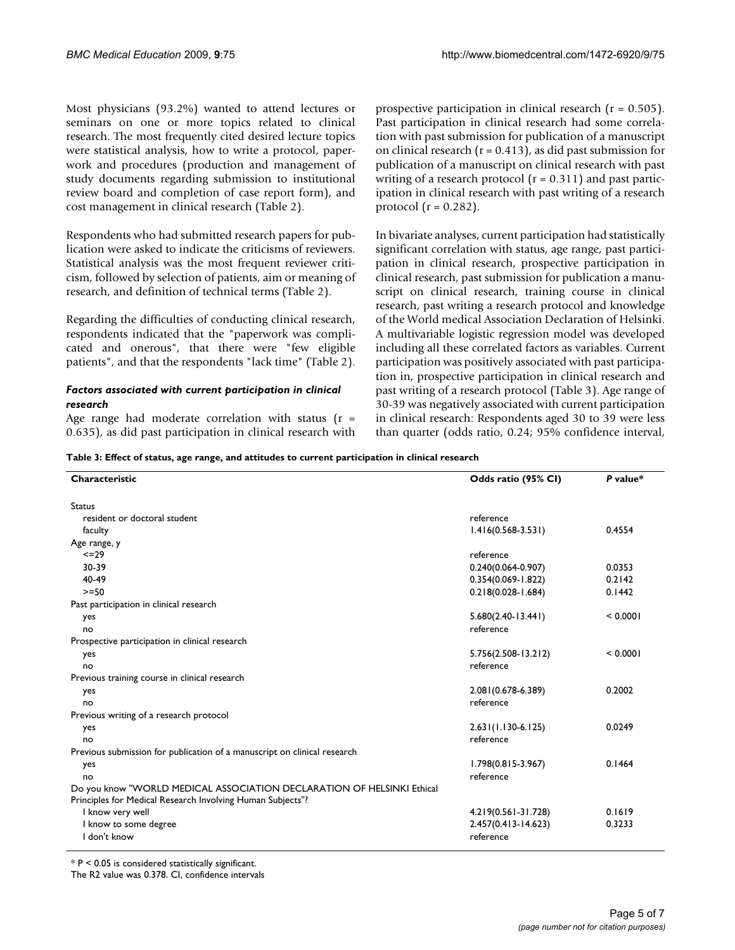Most physicians (93.2%) wanted to attend lectures or seminars on one or more topics related to clinical research. The most frequently cited desired lecture topics were statistical analysis, how to write a protocol, paperwork and procedures (production and management of study documents regarding submission to institutional review board and completion of case report form), and cost management in clinical research (Table 2).

Respondents who had submitted research papers for publication were asked to indicate the criticisms of reviewers. Statistical analysis was the most frequent reviewer criticism, followed by selection of patients, aim or meaning of research, and definition of technical terms (Table 2).

Regarding the difficulties of conducting clinical research, respondents indicated that the "paperwork was complicated and onerous", that there were "few eligible patients", and that the respondents "lack time" (Table 2).

#### *Factors associated with current participation in clinical research*

Age range had moderate correlation with status  $(r =$ 0.635), as did past participation in clinical research with prospective participation in clinical research (r = 0.505). Past participation in clinical research had some correlation with past submission for publication of a manuscript on clinical research  $(r = 0.413)$ , as did past submission for publication of a manuscript on clinical research with past writing of a research protocol  $(r = 0.311)$  and past participation in clinical research with past writing of a research protocol ( $r = 0.282$ ).

In bivariate analyses, current participation had statistically significant correlation with status, age range, past participation in clinical research, prospective participation in clinical research, past submission for publication a manuscript on clinical research, training course in clinical research, past writing a research protocol and knowledge of the World medical Association Declaration of Helsinki. A multivariable logistic regression model was developed including all these correlated factors as variables. Current participation was positively associated with past participation in, prospective participation in clinical research and past writing of a research protocol (Table 3). Age range of 30-39 was negatively associated with current participation in clinical research: Respondents aged 30 to 39 were less than quarter (odds ratio, 0.24; 95% confidence interval,

**Table 3: Effect of status, age range, and attitudes to current participation in clinical research**

| Characteristic                                                                                                                       | Odds ratio (95% CI)     | P value* |
|--------------------------------------------------------------------------------------------------------------------------------------|-------------------------|----------|
| <b>Status</b>                                                                                                                        |                         |          |
| resident or doctoral student                                                                                                         | reference               |          |
| faculty                                                                                                                              | $1.416(0.568 - 3.531)$  | 0.4554   |
| Age range, y                                                                                                                         |                         |          |
| 229                                                                                                                                  | reference               |          |
| 30-39                                                                                                                                | $0.240(0.064 - 0.907)$  | 0.0353   |
| 40-49                                                                                                                                | $0.354(0.069 - 1.822)$  | 0.2142   |
| $>=50$                                                                                                                               | $0.218(0.028 - 1.684)$  | 0.1442   |
| Past participation in clinical research                                                                                              |                         |          |
| yes                                                                                                                                  | $5.680(2.40-13.441)$    | < 0.0001 |
| no                                                                                                                                   | reference               |          |
| Prospective participation in clinical research                                                                                       |                         |          |
| yes                                                                                                                                  | $5.756(2.508-13.212)$   | < 0.0001 |
| no                                                                                                                                   | reference               |          |
| Previous training course in clinical research                                                                                        |                         |          |
| yes                                                                                                                                  | 2.081 (0.678-6.389)     | 0.2002   |
| no                                                                                                                                   | reference               |          |
| Previous writing of a research protocol                                                                                              |                         |          |
| yes                                                                                                                                  | $2.631(1.130-6.125)$    | 0.0249   |
| no                                                                                                                                   | reference               |          |
| Previous submission for publication of a manuscript on clinical research                                                             |                         |          |
| yes                                                                                                                                  | $1.798(0.815 - 3.967)$  | 0.1464   |
| no                                                                                                                                   | reference               |          |
| Do you know "WORLD MEDICAL ASSOCIATION DECLARATION OF HELSINKI Ethical<br>Principles for Medical Research Involving Human Subjects"? |                         |          |
| I know very well                                                                                                                     | 4.219(0.561-31.728)     | 0.1619   |
| I know to some degree                                                                                                                | $2.457(0.413 - 14.623)$ | 0.3233   |
| I don't know                                                                                                                         | reference               |          |

\* P < 0.05 is considered statistically significant.

The R2 value was 0.378. CI, confidence intervals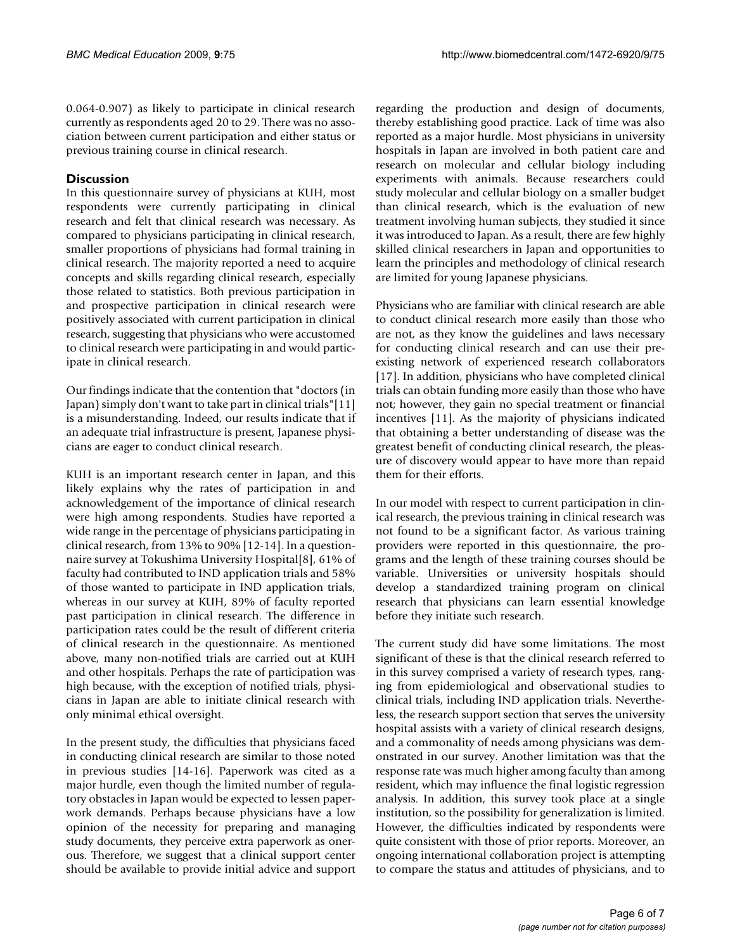0.064-0.907) as likely to participate in clinical research currently as respondents aged 20 to 29. There was no association between current participation and either status or previous training course in clinical research.

#### **Discussion**

In this questionnaire survey of physicians at KUH, most respondents were currently participating in clinical research and felt that clinical research was necessary. As compared to physicians participating in clinical research, smaller proportions of physicians had formal training in clinical research. The majority reported a need to acquire concepts and skills regarding clinical research, especially those related to statistics. Both previous participation in and prospective participation in clinical research were positively associated with current participation in clinical research, suggesting that physicians who were accustomed to clinical research were participating in and would participate in clinical research.

Our findings indicate that the contention that "doctors (in Japan) simply don't want to take part in clinical trials"[11] is a misunderstanding. Indeed, our results indicate that if an adequate trial infrastructure is present, Japanese physicians are eager to conduct clinical research.

KUH is an important research center in Japan, and this likely explains why the rates of participation in and acknowledgement of the importance of clinical research were high among respondents. Studies have reported a wide range in the percentage of physicians participating in clinical research, from 13% to 90% [12-14]. In a questionnaire survey at Tokushima University Hospital[8], 61% of faculty had contributed to IND application trials and 58% of those wanted to participate in IND application trials, whereas in our survey at KUH, 89% of faculty reported past participation in clinical research. The difference in participation rates could be the result of different criteria of clinical research in the questionnaire. As mentioned above, many non-notified trials are carried out at KUH and other hospitals. Perhaps the rate of participation was high because, with the exception of notified trials, physicians in Japan are able to initiate clinical research with only minimal ethical oversight.

In the present study, the difficulties that physicians faced in conducting clinical research are similar to those noted in previous studies [14-16]. Paperwork was cited as a major hurdle, even though the limited number of regulatory obstacles in Japan would be expected to lessen paperwork demands. Perhaps because physicians have a low opinion of the necessity for preparing and managing study documents, they perceive extra paperwork as onerous. Therefore, we suggest that a clinical support center should be available to provide initial advice and support regarding the production and design of documents, thereby establishing good practice. Lack of time was also reported as a major hurdle. Most physicians in university hospitals in Japan are involved in both patient care and research on molecular and cellular biology including experiments with animals. Because researchers could study molecular and cellular biology on a smaller budget than clinical research, which is the evaluation of new treatment involving human subjects, they studied it since it was introduced to Japan. As a result, there are few highly skilled clinical researchers in Japan and opportunities to learn the principles and methodology of clinical research are limited for young Japanese physicians.

Physicians who are familiar with clinical research are able to conduct clinical research more easily than those who are not, as they know the guidelines and laws necessary for conducting clinical research and can use their preexisting network of experienced research collaborators [17]. In addition, physicians who have completed clinical trials can obtain funding more easily than those who have not; however, they gain no special treatment or financial incentives [11]. As the majority of physicians indicated that obtaining a better understanding of disease was the greatest benefit of conducting clinical research, the pleasure of discovery would appear to have more than repaid them for their efforts.

In our model with respect to current participation in clinical research, the previous training in clinical research was not found to be a significant factor. As various training providers were reported in this questionnaire, the programs and the length of these training courses should be variable. Universities or university hospitals should develop a standardized training program on clinical research that physicians can learn essential knowledge before they initiate such research.

The current study did have some limitations. The most significant of these is that the clinical research referred to in this survey comprised a variety of research types, ranging from epidemiological and observational studies to clinical trials, including IND application trials. Nevertheless, the research support section that serves the university hospital assists with a variety of clinical research designs, and a commonality of needs among physicians was demonstrated in our survey. Another limitation was that the response rate was much higher among faculty than among resident, which may influence the final logistic regression analysis. In addition, this survey took place at a single institution, so the possibility for generalization is limited. However, the difficulties indicated by respondents were quite consistent with those of prior reports. Moreover, an ongoing international collaboration project is attempting to compare the status and attitudes of physicians, and to